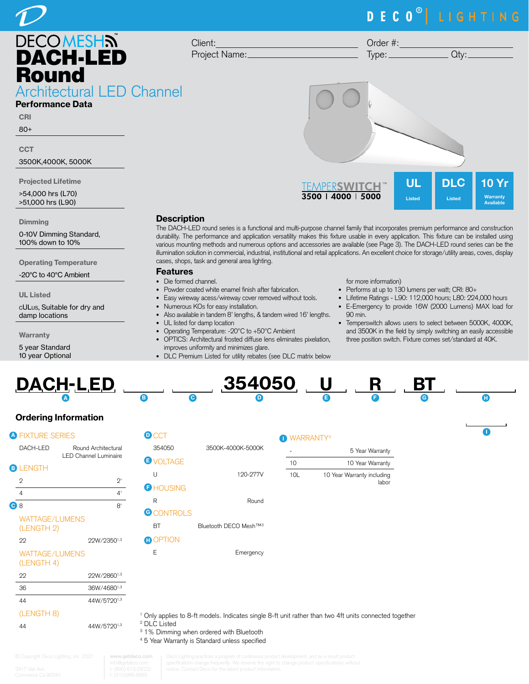# DECO<sup>®</sup> LIGHTING



80+

**CCT** 

3500K,4000K, 5000K

Projected Lifetime

>54,000 hrs (L70) >51,000 hrs (L90)

#### **Dimming**

0-10V Dimming Standard, 100% down to 10%

Operating Temperature

-20°C to 40°C Ambient

UL Listed

cULus, Suitable for dry and damp locations

**Warranty** 

5 year Standard 10 year Optional



### **Description**

The DACH-LED round series is a functional and multi-purpose channel family that incorporates premium performance and construction durability. The performance and application versatility makes this fixture usable in every application. This fixture can be installed using various mounting methods and numerous options and accessories are available (see Page 3). The DACH-LED round series can be the illumination solution in commercial, industrial, institutional and retail applications. An excellent choice for storage/utility areas, coves, display cases, shops, task and general area lighting.

### Features

- Die formed channel.
- Powder coated white enamel finish after fabrication.
- Easy wireway acess/wireway cover removed without tools.
- Numerous KOs for easy installation.
- Also available in tandem 8' lengths, & tandem wired 16' lengths.
- UL listed for damp location
- Operating Temperature: -20ºC to +50ºC Ambient
- OPTICS: Architectural frosted diffuse lens eliminates pixelation, improves uniformity and minimizes glare.
- DLC Premium Listed for utility rebates (see DLC matrix below

### for more information)

- Performs at up to 130 lumens per watt; CRI: 80+
- Lifetime Ratings L90: 112,000 hours; L80: 224,000 hours
- E-Emergency to provide 16W (2000 Lumens) MAX load for 90 min.
- Temperswitch allows users to select between 5000K, 4000K, and 3500K in the field by simply switching an easily accessible three position switch. Fixture comes set/standard at 40K.

I

-10L

| <b>DACH-LED</b> |  | 354050 U |  |  |
|-----------------|--|----------|--|--|
|                 |  |          |  |  |

## Ordering Information

| <b>A FIXTURE SERIES</b>             |                                                     | D  |
|-------------------------------------|-----------------------------------------------------|----|
| DACH-LED                            | Round Architectural<br><b>LED Channel Luminaire</b> | Έ  |
| <b>B</b> LENGTH                     |                                                     |    |
| 2                                   | $2^{\circ}$                                         |    |
| 4                                   | 4'                                                  | F  |
| C <sub>8</sub>                      | R'                                                  | G  |
| <b>WATTAGE/LUMENS</b><br>(LENGTH 2) |                                                     |    |
| 22                                  | 22W/23501,3                                         | н  |
| <b>WATTAGE/LUMENS</b><br>(LENGTH 4) |                                                     |    |
| 22                                  | 22W/28601,3                                         |    |
| 36                                  | 36W/46801,3                                         |    |
| 44                                  | 44W/5720 <sup>1,3</sup>                             |    |
| (LENGTH 8)                          |                                                     |    |
| 44                                  | 44W/57201,3                                         | DI |

| <b>D</b> CCT      |                                   |
|-------------------|-----------------------------------|
| 354050            | 3500K-4000K-5000K                 |
| <b>UVOLTAGE</b>   |                                   |
| П                 | 120-277V                          |
| <b>G</b> HOUSING  |                                   |
| R                 | Round                             |
| <b>G</b> CONTROLS |                                   |
| ВT                | Bluetooth DECO Mesh™ <sup>3</sup> |
| <b>n</b> OPTION   |                                   |
| F                 | Emergency                         |
|                   |                                   |

| <b>O</b> WARRANT |  |
|------------------|--|
|                  |  |

| 5 Year Warranty                     |     |  |
|-------------------------------------|-----|--|
| 10 Year Warranty                    | 10  |  |
| 10 Year Warranty including<br>labor | 10I |  |

Only applies to 8-ft models. Indicates single 8-ft unit rather than two 4ft units connected together

DLC Listed

- <sup>3</sup> 1% Dimming when ordered with Bluetooth
- 4 5 Year Warranty is Standard unless specified

w.getdeco.cor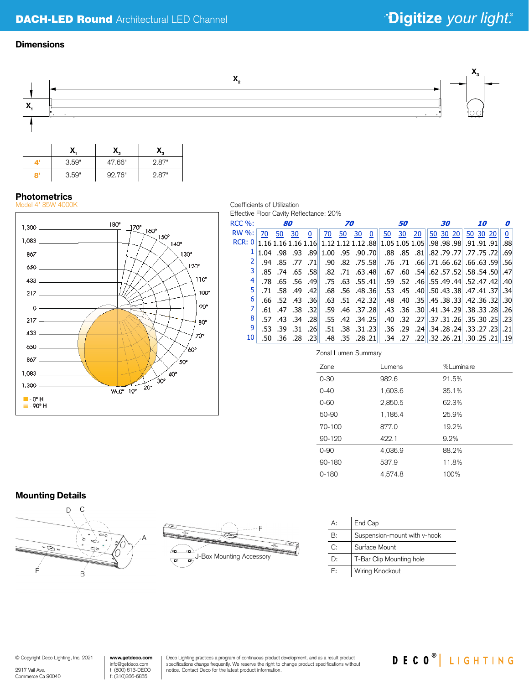## DACH-LED Round Architectural LED Channel

# \*Digitize your light.

### **Dimensions**



# **Photometrics**<br>Model 4' 35W 4000



8' 3.59" 92.76" 2.87"

#### Coefficients of Utilization Effective Floor Cavity Reflectance: 20%

| $RCC$ %:     |    |    | 80 |                         |                                   | 70                      |    |          |                                                                                         | <i>50</i> |                                                   | 30 |            |          | <i><b>10</b></i> | n           |
|--------------|----|----|----|-------------------------|-----------------------------------|-------------------------|----|----------|-----------------------------------------------------------------------------------------|-----------|---------------------------------------------------|----|------------|----------|------------------|-------------|
| <b>RW %:</b> | 70 | 50 | 30 | 0                       | 70                                | 50                      | 30 | $\bf{0}$ | 50                                                                                      | 30        | 20                                                |    | $50$ 30 20 | 50 30 20 |                  | $\mathbf 0$ |
|              |    |    |    |                         |                                   |                         |    |          |                                                                                         |           |                                                   |    |            |          |                  |             |
|              |    |    |    |                         | 1.04, 98, 93, 89 1.00, 95, 90, 70 |                         |    |          |                                                                                         |           | 69.  72. 75. 77.   77. 79. 82.   81.   55.   88.  |    |            |          |                  |             |
|              |    |    |    |                         |                                   |                         |    |          | [56] [59] .68. 66. [62] .66. 71. [66] .71. .66. [78] .75. .82. .90. [11] .77. .85. .94. |           |                                                   |    |            |          |                  |             |
|              |    |    |    |                         | .85 .74 .65 .58 .82 .71 .63 .48   |                         |    |          |                                                                                         |           | .67 .60 .54 .57 .52 .57 .52 .58 .54 .50 .67 .60   |    |            |          |                  |             |
| 4            |    |    |    |                         | .78 .65 .56 .49 .75 .63 .55 .41   |                         |    |          |                                                                                         |           | .59 .52 .46 .55 .49 .44 .52 .47 .42 .59 .52       |    |            |          |                  |             |
| 5.           |    |    |    | $.71$ $.58$ $.49$ $.42$ |                                   | $.68$ $.56$ $.48$ $.36$ |    |          |                                                                                         |           | .53 .45 .40 .50 .43 .38 .47 .41 .37 .34           |    |            |          |                  |             |
| 6            |    |    |    | $.66$ $.52$ $.43$ $.36$ |                                   | $.63$ $.51$ $.42$ $.32$ |    |          |                                                                                         |           | .48 .40 .35 .45 .38 .33 .42 .36 .32 .30           |    |            |          |                  |             |
|              |    |    |    |                         | .61 .47 .38 .32 .59 .46 .37 .28   |                         |    |          |                                                                                         |           | .26. 28. 33. 35. 29. 34. 41. 34. 39. 38. 43. 43.  |    |            |          |                  |             |
| 8            |    |    |    |                         | .57 .43 .34 .28 .55 .42 .34 .25   |                         |    |          |                                                                                         |           | .23 .25 .27 .27 .31 .26 .35 .30 .25 .30 .25 .40 . |    |            |          |                  |             |
| 9            |    |    |    | $.53$ $.39$ $.31$ $.26$ |                                   | $.51$ $.38$ $.31$ $.23$ |    |          |                                                                                         |           | .21. 23. 27. 23. 24. 28. 24. 28. 24. 29. 36.      |    |            |          |                  |             |
| 10           |    |    |    | $.50$ $.36$ $.28$ $.23$ |                                   |                         |    |          | 19.   21. 25. 20.   21. 26. 22.   22.   27.   34.    21. 28.   35.   36.                |           |                                                   |    |            |          |                  |             |

Zonal Lumen Summary

| Zone       | Lumens  | %Luminaire |
|------------|---------|------------|
| $0 - 30$   | 982.6   | 21.5%      |
| $0 - 40$   | 1,603.6 | 35.1%      |
| $0 - 60$   | 2,850.5 | 62.3%      |
| 50-90      | 1,186.4 | 25.9%      |
| $70 - 100$ | 877.0   | 19.2%      |
| 90-120     | 422.1   | 9.2%       |
| $0 - 90$   | 4,036.9 | 88.2%      |
| 90-180     | 537.9   | 11.8%      |
| $0 - 180$  | 4.574.8 | 100%       |

### Mounting Details





| A:           | End Cap                      |
|--------------|------------------------------|
| $\mathsf{B}$ | Suspension-mount with v-hook |
| C:           | Surface Mount                |
| $\mathbf{D}$ | T-Bar Clip Mounting hole     |
| F:           | Wiring Knockout              |

© Copyright Deco Lighting, Inc. 2021

2917 Vail Ave. Commerce Ca 90040

**www.getdeco.com** info@getdeco.com t: (800) 613-DECO f: (310)366-6855

Deco Lighting practices a program of continuous product development, and as a result product specifications change frequently. We reserve the right to change product specifications without specifications without notice. Contact Deco for the latest product information.